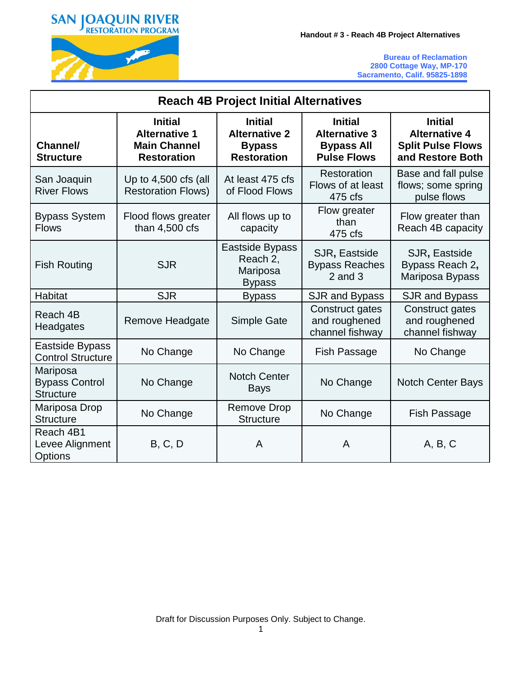

| <b>Reach 4B Project Initial Alternatives</b>          |                                                                                       |                                                                               |                                                                                   |                                                                                        |  |  |  |  |  |
|-------------------------------------------------------|---------------------------------------------------------------------------------------|-------------------------------------------------------------------------------|-----------------------------------------------------------------------------------|----------------------------------------------------------------------------------------|--|--|--|--|--|
| Channel/<br><b>Structure</b>                          | <b>Initial</b><br><b>Alternative 1</b><br><b>Main Channel</b><br><b>Restoration</b>   | <b>Initial</b><br><b>Alternative 2</b><br><b>Bypass</b><br><b>Restoration</b> | <b>Initial</b><br><b>Alternative 3</b><br><b>Bypass All</b><br><b>Pulse Flows</b> | <b>Initial</b><br><b>Alternative 4</b><br><b>Split Pulse Flows</b><br>and Restore Both |  |  |  |  |  |
| San Joaquin<br><b>River Flows</b>                     | Up to $4,500$ cfs (all<br><b>Restoration Flows)</b>                                   | At least 475 cfs<br>of Flood Flows                                            | Restoration<br>Flows of at least<br>475 cfs                                       | Base and fall pulse<br>flows; some spring<br>pulse flows                               |  |  |  |  |  |
| <b>Bypass System</b><br><b>Flows</b>                  | Flood flows greater<br>than $4,500$ cfs                                               | Flow greater<br>All flows up to<br>than<br>capacity<br>475 cfs                |                                                                                   | Flow greater than<br>Reach 4B capacity                                                 |  |  |  |  |  |
| <b>Fish Routing</b>                                   | Eastside Bypass<br>Reach 2,<br><b>SJR</b><br>Mariposa<br>$2$ and $3$<br><b>Bypass</b> |                                                                               | SJR, Eastside<br><b>Bypass Reaches</b>                                            | SJR, Eastside<br>Bypass Reach 2,<br>Mariposa Bypass                                    |  |  |  |  |  |
| <b>Habitat</b>                                        | <b>SJR</b>                                                                            | <b>Bypass</b>                                                                 | SJR and Bypass                                                                    | SJR and Bypass                                                                         |  |  |  |  |  |
| Reach 4B<br>Headgates                                 | Remove Headgate                                                                       | <b>Simple Gate</b>                                                            | Construct gates<br>and roughened<br>channel fishway                               | Construct gates<br>and roughened<br>channel fishway                                    |  |  |  |  |  |
| Eastside Bypass<br><b>Control Structure</b>           | No Change                                                                             | No Change                                                                     | <b>Fish Passage</b>                                                               | No Change                                                                              |  |  |  |  |  |
| Mariposa<br><b>Bypass Control</b><br><b>Structure</b> | No Change                                                                             | <b>Notch Center</b><br><b>Bays</b>                                            | No Change                                                                         | <b>Notch Center Bays</b>                                                               |  |  |  |  |  |
| Mariposa Drop<br><b>Structure</b>                     | No Change                                                                             | <b>Remove Drop</b><br><b>Structure</b>                                        | No Change                                                                         | Fish Passage                                                                           |  |  |  |  |  |
| Reach 4B1<br>Levee Alignment<br><b>Options</b>        | B, C, D                                                                               | A                                                                             | A                                                                                 | A, B, C                                                                                |  |  |  |  |  |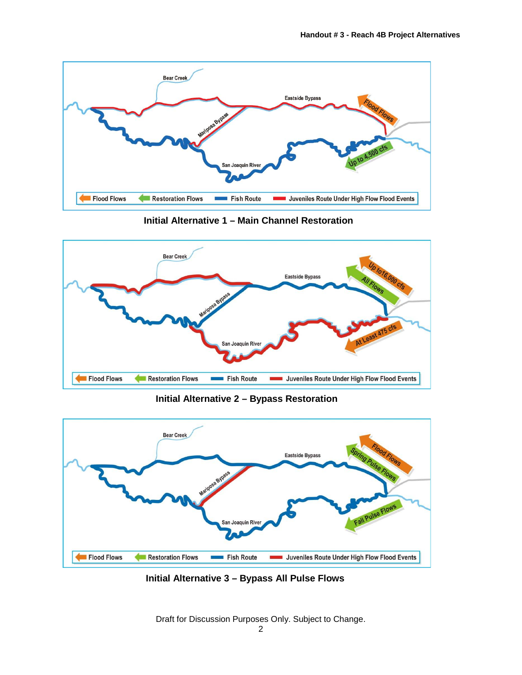

**Initial Alternative 1 – Main Channel Restoration**



**Initial Alternative 2 – Bypass Restoration**



**Initial Alternative 3 – Bypass All Pulse Flows**

Draft for Discussion Purposes Only. Subject to Change.